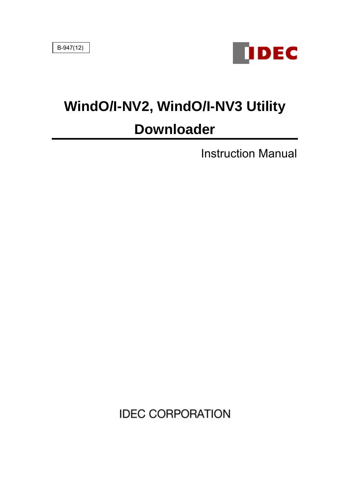

# **WindO/I-NV2, WindO/I-NV3 Utility**

# **Downloader**

Instruction Manual

**IDEC CORPORATION**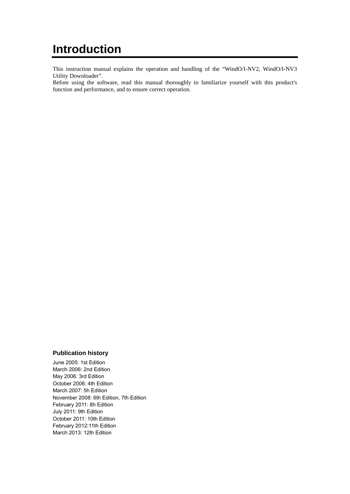## **Introduction**

This instruction manual explains the operation and handling of the "WindO/I-NV2, WindO/I-NV3 Utility Downloader".

Before using the software, read this manual thoroughly to familiarize yourself with this product's function and performance, and to ensure correct operation.

#### **Publication history**

June 2005: 1st Edition March 2006: 2nd Edition May 2006: 3rd Edition October 2006: 4th Edition March 2007: 5h Edition November 2008: 6th Edition, 7th Edition February 2011: 8h Edition July 2011: 9th Edition October 2011: 10th Edition February 2012:11th Edition March 2013: 12th Edition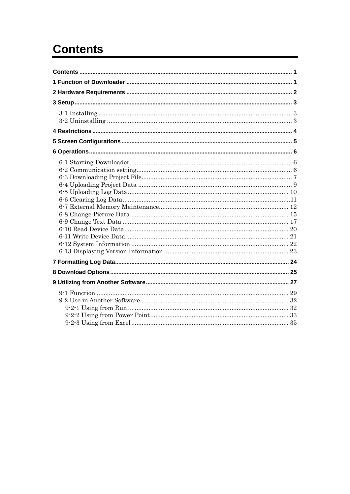# <span id="page-2-0"></span>**Contents**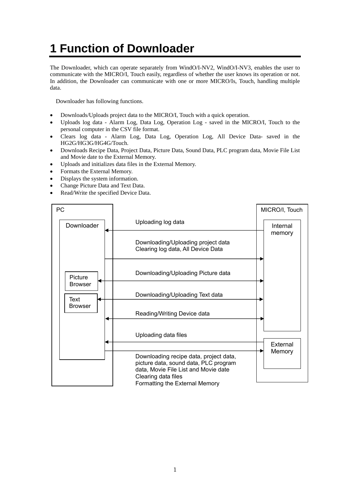# <span id="page-3-0"></span>**1 Function of Downloader**

The Downloader, which can operate separately from WindO/I-NV2, WindO/I-NV3, enables the user to communicate with the MICRO/I, Touch easily, regardless of whether the user knows its operation or not. In addition, the Downloader can communicate with one or more MICRO/Is, Touch, handling multiple data.

Downloader has following functions.

- Downloads/Uploads project data to the MICRO/I, Touch with a quick operation.
- Uploads log data Alarm Log, Data Log, Operation Log saved in the MICRO/I, Touch to the personal computer in the CSV file format.
- Clears log data Alarm Log, Data Log, Operation Log, All Device Data- saved in the HG2G/HG3G/HG4G/Touch.
- Downloads Recipe Data, Project Data, Picture Data, Sound Data, PLC program data, Movie File List and Movie date to the External Memory.
- Uploads and initializes data files in the External Memory.
- Formats the External Memory.
- Displays the system information.
- Change Picture Data and Text Data.
- Read/Write the specified Device Data.

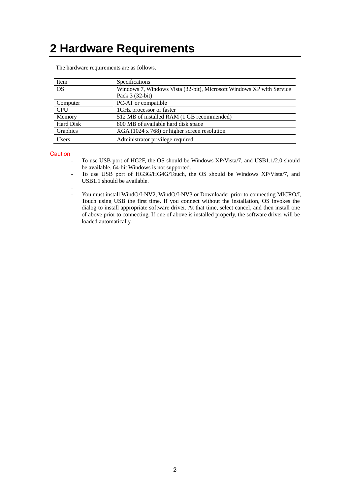# <span id="page-4-0"></span>**2 Hardware Requirements**

| Item             | Specifications                                                       |
|------------------|----------------------------------------------------------------------|
| <b>OS</b>        | Windows 7, Windows Vista (32-bit), Microsoft Windows XP with Service |
|                  | Pack 3 (32-bit)                                                      |
| Computer         | PC-AT or compatible                                                  |
| <b>CPU</b>       | 1GHz processor or faster                                             |
| Memory           | 512 MB of installed RAM (1 GB recommended)                           |
| <b>Hard Disk</b> | 800 MB of available hard disk space                                  |
| Graphics         | XGA (1024 x 768) or higher screen resolution                         |
| <b>Users</b>     | Administrator privilege required                                     |

The hardware requirements are as follows.

#### **Caution**

- To use USB port of HG2F, the OS should be Windows XP/Vista/7, and USB1.1/2.0 should be available. 64-bit Windows is not supported.
- To use USB port of HG3G/HG4G/Touch, the OS should be Windows XP/Vista/7, and USB1.1 should be available.
- - You must install WindO/I-NV2, WindO/I-NV3 or Downloader prior to connecting MICRO/I, Touch using USB the first time. If you connect without the installation, OS invokes the dialog to install appropriate software driver. At that time, select cancel, and then install one of above prior to connecting. If one of above is installed properly, the software driver will be loaded automatically.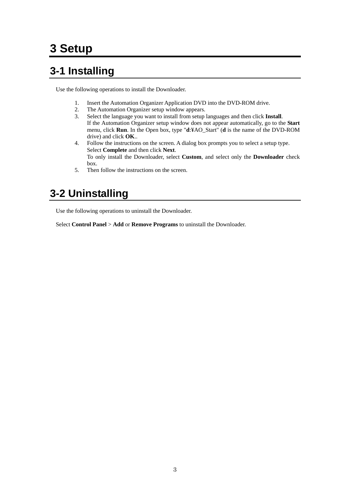# <span id="page-5-0"></span>**3 Setup**

### <span id="page-5-1"></span>**3-1 Installing**

Use the following operations to install the Downloader.

- 1. Insert the Automation Organizer Application DVD into the DVD-ROM drive.
- 2. The Automation Organizer setup window appears.
- 3. Select the language you want to install from setup languages and then click **Install**. If the Automation Organizer setup window does not appear automatically, go to the **Start** menu, click **Run**. In the Open box, type "**d**:¥AO\_Start" (**d** is the name of the DVD-ROM drive) and click **OK**..
- 4. Follow the instructions on the screen. A dialog box prompts you to select a setup type. Select **Complete** and then click **Next**. To only install the Downloader, select **Custom**, and select only the **Downloader** check box.
- 5. Then follow the instructions on the screen.

### <span id="page-5-2"></span>**3-2 Uninstalling**

Use the following operations to uninstall the Downloader.

Select **Control Panel** > **Add** or **Remove Programs** to uninstall the Downloader.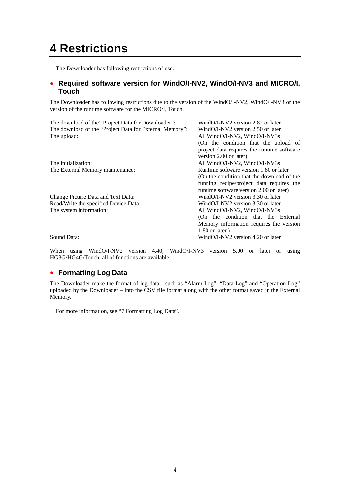### <span id="page-6-0"></span>**4 Restrictions**

The Downloader has following restrictions of use.

### ● **Required software version for WindO/I-NV2, WindO/I-NV3 and MICRO/I, Touch**

The Downloader has following restrictions due to the version of the WindO/I-NV2, WindO/I-NV3 or the version of the runtime software for the MICRO/I, Touch.

| The download of the" Project Data for Downloader":<br>The download of the "Project Data for External Memory":<br>The upload: | WindO/I-NV2 version 2.82 or later<br>WindO/I-NV2 version 2.50 or later<br>All WindO/I-NV2, WindO/I-NV3s<br>(On the condition that the upload of<br>project data requires the runtime software |
|------------------------------------------------------------------------------------------------------------------------------|-----------------------------------------------------------------------------------------------------------------------------------------------------------------------------------------------|
|                                                                                                                              | version 2.00 or later)                                                                                                                                                                        |
| The initialization:                                                                                                          | All WindO/I-NV2, WindO/I-NV3s                                                                                                                                                                 |
| The External Memory maintenance:                                                                                             | Runtime software version 1.80 or later                                                                                                                                                        |
|                                                                                                                              | (On the condition that the download of the<br>running recipe/project data requires the                                                                                                        |
|                                                                                                                              | runtime software version 2.00 or later)                                                                                                                                                       |
| Change Picture Data and Text Data:                                                                                           | WindO/I-NV2 version 3.30 or later                                                                                                                                                             |
| Read/Write the specified Device Data:                                                                                        | WindO/I-NV2 version 3.30 or later                                                                                                                                                             |
| The system information:                                                                                                      | All WindO/I-NV2, WindO/I-NV3s                                                                                                                                                                 |
|                                                                                                                              | (On the condition that the External                                                                                                                                                           |
|                                                                                                                              | Memory information requires the version                                                                                                                                                       |
|                                                                                                                              | $1.80$ or later.)                                                                                                                                                                             |
| Sound Data:                                                                                                                  | WindO/I-NV2 version 4.20 or later                                                                                                                                                             |

When using WindO/I-NV2 version 4.40, WindO/I-NV3 version 5.00 or later or using HG3G/HG4G/Touch, all of functions are available.

### ● **Formatting Log Data**

The Downloader make the format of log data - such as "Alarm Log", "Data Log" and "Operation Log" uploaded by the Downloader – into the CSV file format along with the other format saved in the External Memory.

For more information, see "7 Formatting Log Data".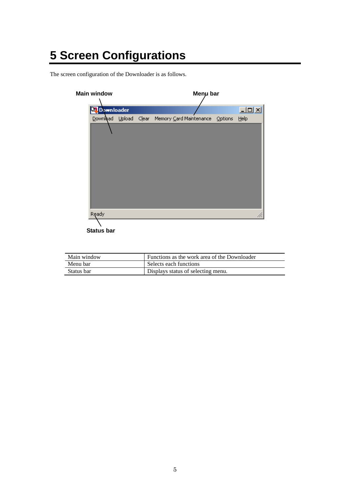# <span id="page-7-0"></span>**5 Screen Configurations**

The screen configuration of the Downloader is as follows.

| <b>Main window</b> |  | Menu bar                                              |                   |
|--------------------|--|-------------------------------------------------------|-------------------|
| <b>Downloader</b>  |  |                                                       | $\Box$ D $\times$ |
|                    |  | Download Upload Clear Memory Card Maintenance Options | Help              |
|                    |  |                                                       |                   |
|                    |  |                                                       |                   |
|                    |  |                                                       |                   |
|                    |  |                                                       |                   |
|                    |  |                                                       |                   |
|                    |  |                                                       |                   |
|                    |  |                                                       |                   |
|                    |  |                                                       |                   |
|                    |  |                                                       |                   |
| Ready              |  |                                                       |                   |

**Status bar**

| Main window | Functions as the work area of the Downloader |
|-------------|----------------------------------------------|
| Menu bar    | Selects each functions                       |
| Status bar  | Displays status of selecting menu.           |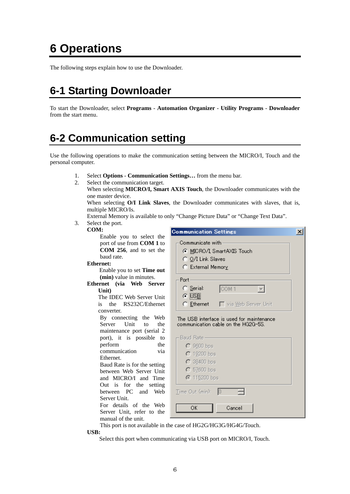# <span id="page-8-0"></span>**6 Operations**

The following steps explain how to use the Downloader.

### <span id="page-8-1"></span>**6-1 Starting Downloader**

To start the Downloader, select **Programs** - **Automation Organizer** - **Utility Programs** - **Downloader** from the start menu.

### <span id="page-8-2"></span>**6-2 Communication setting**

Use the following operations to make the communication setting between the MICRO/I, Touch and the personal computer.

- 1. Select **Options Communication Settings…** from the menu bar.
- 2. Select the communication target.
	- When selecting **MICRO/I, Smart AXIS Touch**, the Downloader communicates with the one master device.

When selecting **O/I Link Slaves**, the Downloader communicates with slaves, that is, multiple MICRO/Is.

- External Memory is available to only "Change Picture Data" or "Change Text Data".
- 3. Select the port.

#### **COM:**

Enable you to select the port of use from **COM 1** to **COM 256**, and to set the baud rate.

#### **Ethernet:**

Enable you to set **Time out (min)** value in minutes.

**Ethernet (via Web Server Unit)**

> The IDEC Web Server Unit is the RS232C/Ethernet converter.

By connecting the Web Server Unit to the maintenance port (serial 2 port), it is possible to perform the communication via Ethernet.

Baud Rate is for the setting between Web Server Unit and MICRO/I and Time Out is for the setting between PC and Web Server Unit.

For details of the Web Server Unit, refer to the manual of the unit.

| <b>Communication Settings</b>                                                                  |  |
|------------------------------------------------------------------------------------------------|--|
| Communicate with<br>⊙ MICRO/I SmartAXIS Touch<br>C O/I Link Slaves<br>C External Memory        |  |
| Port<br>C Serial:<br>COM <sub>1</sub><br>$\odot$ [USB]<br>C Ethernet   via Web Server Unit     |  |
| The USB interface is used for maintenance<br>communication cable on the HG2G-5S.<br>Baud Rate- |  |
| $C$ 9600 bps<br>$C$ 19200 bps<br>$C$ 38400 bps                                                 |  |
| $C$ 57600 bps<br><b>⊙</b> 115200 bps<br>Time Out (min):<br>Ю                                   |  |
| OK<br>Cancel                                                                                   |  |

This port is not available in the case of HG2G/HG3G/HG4G/Touch.

 **USB:** 

Select this port when communicating via USB port on MICRO/I, Touch.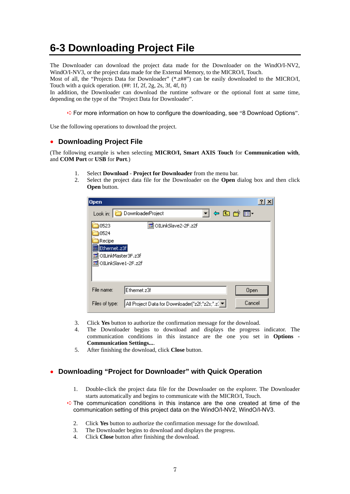### <span id="page-9-0"></span>**6-3 Downloading Project File**

The Downloader can download the project data made for the Downloader on the WindO/I-NV2, WindO/I-NV3, or the project data made for the External Memory, to the MICRO/I, Touch.

Most of all, the "Projects Data for Downloader" (\*.z##") can be easily downloaded to the MICRO/I, Touch with a quick operation. (##: 1f, 2f, 2g, 2s, 3f, 4f, ft)

In addition, the Downloader can download the runtime software or the optional font at same time, depending on the type of the "Project Data for Downloader".

➪For more information on how to configure the downloading, see "8 Download Options".

Use the following operations to download the project.

### ● **Downloading Project File**

(The following example is when selecting **MICRO/I, Smart AXIS Touch** for **Communication with**, and **COM Port** or **USB** for **Port**.)

- 1. Select **Download Project for Downloader** from the menu bar.<br>2. Select the project data file for the Downloader on the **Open** c
	- 2. Select the project data file for the Downloader on the **Open** dialog box and then click **Open** button.

| Open                                                                                                                 | $?$ $\times$ |
|----------------------------------------------------------------------------------------------------------------------|--------------|
| ▾ ◙ बाँ । प<br>DownloaderProject<br>Look in: $ $                                                                     |              |
| 圆 OILinkSlave2-2F.z2f<br>0523<br>0524<br>Recipe<br>Ethernet.z3f<br>OILinkMaster3F.z3f<br>क<br>圆 OILinkSlave1-2F.z2f  |              |
| File name:<br>Ethernet.z3f<br>Open<br>Cancel<br>All Project Data for Downloader("z2f;"z2s;".z( v  <br>Files of type: |              |

- 3. Click **Yes** button to authorize the confirmation message for the download.
- 4. The Downloader begins to download and displays the progress indicator. The communication conditions in this instance are the one you set in **Options** - **Communication Settings...**.
- 5. After finishing the download, click **Close** button.

### ● **Downloading "Project for Downloader" with Quick Operation**

- 1. Double-click the project data file for the Downloader on the explorer. The Downloader starts automatically and begins to communicate with the MICRO/I, Touch.
- $\Rightarrow$  The communication conditions in this instance are the one created at time of the communication setting of this project data on the WindO/I-NV2, WindO/I-NV3.
	- 2. Click **Yes** button to authorize the confirmation message for the download.
	- 3. The Downloader begins to download and displays the progress.
	- 4. Click **Close** button after finishing the download.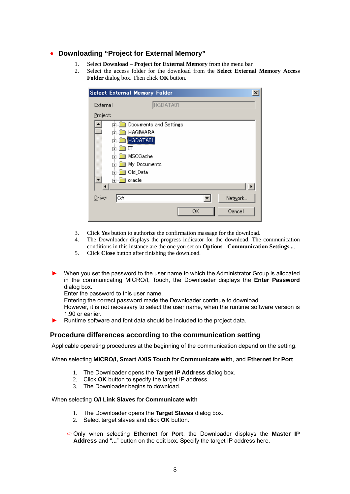### ● **Downloading "Project for External Memory"**

- 1. Select **Download Project for External Memory** from the menu bar.
- 2. Select the access folder for the download from the **Select External Memory Access Folder** dialog box. Then click **OK** button.

|          |                | <b>Select External Memory Folder</b> | × |
|----------|----------------|--------------------------------------|---|
| External |                | HGDATA01                             |   |
| Project: |                |                                      |   |
|          | Ĥ.             | Documents and Settings               |   |
|          | $\overline{+}$ | HAGIWARA                             |   |
|          | ∓              | HGDATA01                             |   |
|          | ஈ              | Π                                    |   |
|          | $\overline{+}$ | MSOGache                             |   |
|          | 曱              | My Documents                         |   |
|          | 曱              | Old_Data                             |   |
|          | ।⊶⊺            | oracle                               |   |
|          |                |                                      |   |
| Drive:   | C¥             | Network                              |   |
|          |                | OK<br>Cancel                         |   |

- 3. Click **Yes** button to authorize the confirmation massage for the download.
- 4. The Downloader displays the progress indicator for the download. The communication conditions in this instance are the one you set on **Options** - **Communication Settings...**.
- 5. Click **Close** button after finishing the download.
- ► When you set the password to the user name to which the Administrator Group is allocated in the communicating MICRO/I, Touch, the Downloader displays the **Enter Password** dialog box.

Enter the password to this user name.

Entering the correct password made the Downloader continue to download.

However, it is not necessary to select the user name, when the runtime software version is 1.90 or earlier.

Runtime software and font data should be included to the project data.

### **Procedure differences according to the communication setting**

Applicable operating procedures at the beginning of the communication depend on the setting.

When selecting **MICRO/I, Smart AXIS Touch** for **Communicate with**, and **Ethernet** for **Port** 

- 1. The Downloader opens the **Target IP Address** dialog box.
- 2. Click **OK** button to specify the target IP address.
- 3. The Downloader begins to download.

#### When selecting **O/I Link Slaves** for **Communicate with**

- 1. The Downloader opens the **Target Slaves** dialog box.
- 2. Select target slaves and click **OK** button.
- ➪Only when selecting **Ethernet** for **Port**, the Downloader displays the **Master IP Address** and "**...**" button on the edit box. Specify the target IP address here.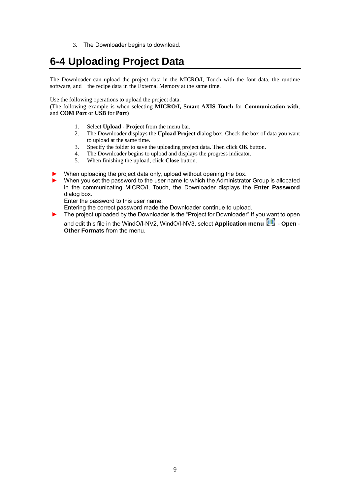3. The Downloader begins to download.

### <span id="page-11-0"></span>**6-4 Uploading Project Data**

The Downloader can upload the project data in the MICRO/I, Touch with the font data, the runtime software, and the recipe data in the External Memory at the same time.

Use the following operations to upload the project data.

(The following example is when selecting **MICRO/I, Smart AXIS Touch** for **Communication with**, and **COM Port** or **USB** for **Port**)

- 1. Select **Upload Project** from the menu bar.
- 2. The Downloader displays the **Upload Project** dialog box. Check the box of data you want to upload at the same time.
- 3. Specify the folder to save the uploading project data. Then click **OK** button.
- 4. The Downloader begins to upload and displays the progress indicator.
- 5. When finishing the upload, click **Close** button.
- When uploading the project data only, upload without opening the box.
- When you set the password to the user name to which the Administrator Group is allocated in the communicating MICRO/I, Touch, the Downloader displays the **Enter Password** dialog box.

Enter the password to this user name.

Entering the correct password made the Downloader continue to upload.

The project uploaded by the Downloader is the "Project for Downloader" If you want to open

and edit this file in the WindO/I-NV2, WindO/I-NV3, select **Application menu** - Open -**Other Formats** from the menu.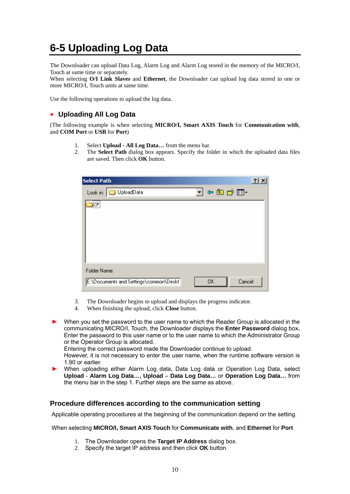### <span id="page-12-0"></span>**6-5 Uploading Log Data**

The Downloader can upload Data Log, Alarm Log and Alarm Log stored in the memory of the MICRO/I, Touch at same time or separately.

When selecting **O/I Link Slaves** and **Ethernet**, the Downloader can upload log data stored in one or more MICRO/I, Touch units at same time.

Use the following operations to upload the log data.

### ● **Uploading All Log Data**

(The following example is when selecting **MICRO/I, Smart AXIS Touch** for **Communication with**, and **COM Port** or **USB** for **Port**)

- 1. Select **Upload All Log Data…** from the menu bar.
- 2. The **Select Path** dialog box appears. Specify the folder in which the uploaded data files are saved. Then click **OK** button.

| <b>Select Path</b>                                            | ? |
|---------------------------------------------------------------|---|
| J & @ o* pr<br>UploadData<br>Look in:                         |   |
| ∦CF!                                                          |   |
| Folder Name:                                                  |   |
| Cancel<br>E:\Documents and Settings\common\Deskt<br><b>OK</b> |   |

- 3. The Downloader begins to upload and displays the progress indicator.
- 4. When finishing the upload, click **Close** button.
- When you set the password to the user name to which the Reader Group is allocated in the communicating MICRO/I, Touch, the Downloader displays the **Enter Password** dialog box**.** Enter the password to this user name or to the user name to which the Administrator Group or the Operator Group is allocated.

Entering the correct password made the Downloader continue to upload.

However, it is not necessary to enter the user name, when the runtime software version is 1.90 or earlier.

When uploading either Alarm Log data, Data Log data or Operation Log Data, select **Upload** - **Alarm Log Data…, Upload** – **Data Log Data…** or **Operation Log Data…** from the menu bar in the step 1. Further steps are the same as above.

### **Procedure differences according to the communication setting**

Applicable operating procedures at the beginning of the communication depend on the setting.

#### When selecting **MICRO/I, Smart AXIS Touch** for **Communicate with**, and **Ethernet** for **Port**

- 1. The Downloader opens the **Target IP Address** dialog box.
- 2. Specify the target IP address and then click **OK** button.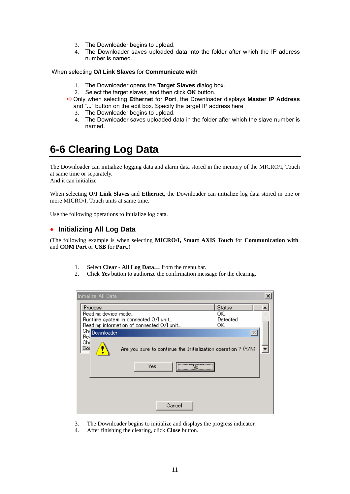- 3. The Downloader begins to upload.
- 4. The Downloader saves uploaded data into the folder after which the IP address number is named.

When selecting **O/I Link Slaves** for **Communicate with** 

- 1. The Downloader opens the **Target Slaves** dialog box.
- 2. Select the target slaves, and then click **OK** button.
- ➪Only when selecting **Ethernet** for **Port**, the Downloader displays **Master IP Address** and "**...**" button on the edit box. Specify the target IP address here
	- 3. The Downloader begins to upload.
	- 4. The Downloader saves uploaded data in the folder after which the slave number is named.

### <span id="page-13-0"></span>**6-6 Clearing Log Data**

The Downloader can initialize logging data and alarm data stored in the memory of the MICRO/I, Touch at same time or separately.

And it can initialize

When selecting **O/I Link Slaves** and **Ethernet**, the Downloader can initialize log data stored in one or more MICRO/I, Touch units at same time.

Use the following operations to initialize log data.

### ● **Initializing All Log Data**

(The following example is when selecting **MICRO/I, Smart AXIS Touch** for **Communication with**, and **COM Port** or **USB** for **Port**.)

- 1. Select **Clear All Log Data…** from the menu bar.
- 2. Click **Yes** button to authorize the confirmation message for the clearing.

| Initialize All Data                                                                  |                  |  |
|--------------------------------------------------------------------------------------|------------------|--|
| Process                                                                              | <b>Status</b>    |  |
| Reading device mode                                                                  | OK.<br>Detected. |  |
| Runtime system in connected O/I unit<br>Reading information of connected O/I unit    | OK.              |  |
| Chr Downloader                                                                       |                  |  |
| Re.<br>Chi<br>Cor<br>Are you sure to continue the Initialization operation ? $(Y/N)$ |                  |  |
| Yes                                                                                  |                  |  |
|                                                                                      |                  |  |
| Cancel                                                                               |                  |  |

- 3. The Downloader begins to initialize and displays the progress indicator.
- 4. After finishing the clearing, click **Close** button.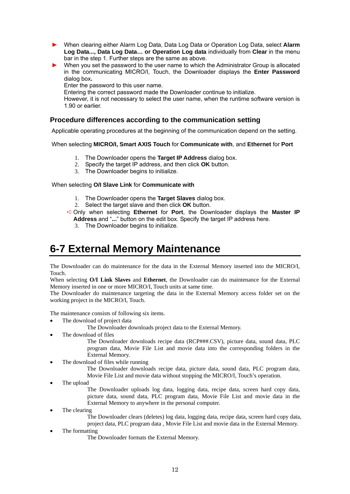- ► When clearing either Alarm Log Data, Data Log Data or Operation Log Data, select **Alarm Log Data..., Data Log Data… or Operation Log data** individually from **Clear** in the menu bar in the step 1. Further steps are the same as above.
- ► When you set the password to the user name to which the Administrator Group is allocated in the communicating MICRO/I, Touch, the Downloader displays the **Enter Password**  dialog box**.**

Enter the password to this user name.

Entering the correct password made the Downloader continue to initialize.

However, it is not necessary to select the user name, when the runtime software version is 1.90 or earlier.

### **Procedure differences according to the communication setting**

Applicable operating procedures at the beginning of the communication depend on the setting.

#### When selecting **MICRO/I, Smart AXIS Touch** for **Communicate with**, and **Ethernet** for **Port**

- 1. The Downloader opens the **Target IP Address** dialog box.
- 2. Specify the target IP address, and then click **OK** button.
- 3. The Downloader begins to initialize.

When selecting **O/I Slave Link** for **Communicate with** 

- 1. The Downloader opens the **Target Slaves** dialog box.
- 2. Select the target slave and then click **OK** button.

➪Only when selecting **Ethernet** for **Port**, the Downloader displays the **Master IP Address** and "**...**" button on the edit box. Specify the target IP address here.

3. The Downloader begins to initialize.

### <span id="page-14-0"></span>**6-7 External Memory Maintenance**

The Downloader can do maintenance for the data in the External Memory inserted into the MICRO/I, Touch.

When selecting **O/I Link Slaves** and **Ethernet**, the Downloader can do maintenance for the External Memory inserted in one or more MICRO/I, Touch units at same time.

The Downloader do maintenance targeting the data in the External Memory access folder set on the working project in the MICRO/I, Touch.

The maintenance consists of following six items.

The download of project data

The Downloader downloads project data to the External Memory.

The download of files

The Downloader downloads recipe data (RCP###.CSV), picture data, sound data, PLC program data, Movie File List and movie data into the corresponding folders in the External Memory.

The download of files while running

The Downloader downloads recipe data, picture data, sound data, PLC program data, Movie File List and movie data without stopping the MICRO/I, Touch's operation.

The upload

The Downloader uploads log data, logging data, recipe data, screen hard copy data, picture data, sound data, PLC program data, Movie File List and movie data in the External Memory to anywhere in the personal computer.

The clearing

The Downloader clears (deletes) log data, logging data, recipe data, screen hard copy data, project data, PLC program data , Movie File List and movie data in the External Memory.

The formatting

The Downloader formats the External Memory.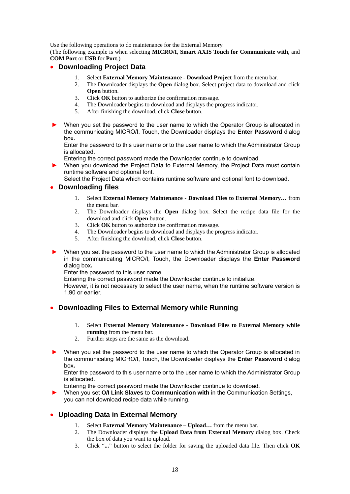Use the following operations to do maintenance for the External Memory.

(The following example is when selecting **MICRO/I, Smart AXIS Touch for Communicate with**, and **COM Port** or **USB** for **Port**.)

### ● **Downloading Project Data**

- 1. Select **External Memory Maintenance Download Project** from the menu bar.
- 2. The Downloader displays the **Open** dialog box. Select project data to download and click **Open** button.
- 3. Click **OK** button to authorize the confirmation message.
- 4. The Downloader begins to download and displays the progress indicator.
- 5. After finishing the download, click **Close** button.
- ► When you set the password to the user name to which the Operator Group is allocated in the communicating MICRO/I, Touch, the Downloader displays the **Enter Password** dialog box**.**

Enter the password to this user name or to the user name to which the Administrator Group is allocated.

Entering the correct password made the Downloader continue to download.

When you download the Project Data to External Memory, the Project Data must contain runtime software and optional font.

Select the Project Data which contains runtime software and optional font to download.

### ● **Downloading files**

- 1. Select **External Memory Maintenance Download Files to External Memory…** from the menu bar.
- 2. The Downloader displays the **Open** dialog box. Select the recipe data file for the download and click **Open** button.
- 3. Click **OK** button to authorize the confirmation message.
- 4. The Downloader begins to download and displays the progress indicator.
- 5. After finishing the download, click **Close** button.
- When you set the password to the user name to which the Administrator Group is allocated in the communicating MICRO/I, Touch, the Downloader displays the **Enter Password**  dialog box**.**

Enter the password to this user name.

Entering the correct password made the Downloader continue to initialize.

However, it is not necessary to select the user name, when the runtime software version is 1.90 or earlier.

### ● **Downloading Files to External Memory while Running**

- 1. Select **External Memory Maintenance Download Files to External Memory while running** from the menu bar.
- 2. Further steps are the same as the download.
- When you set the password to the user name to which the Operator Group is allocated in the communicating MICRO/I, Touch, the Downloader displays the **Enter Password** dialog box**.**

Enter the password to this user name or to the user name to which the Administrator Group is allocated.

Entering the correct password made the Downloader continue to download.

► When you set **O/I Link Slaves** to **Communication with** in the Communication Settings, you can not download recipe data while running.

### ● **Uploading Data in External Memory**

- 1. Select **External Memory Maintenance Upload…** from the menu bar.
- 2. The Downloader displays the **Upload Data from External Memory** dialog box. Check the box of data you want to upload.
- 3. Click "**...**" button to select the folder for saving the uploaded data file. Then click **OK**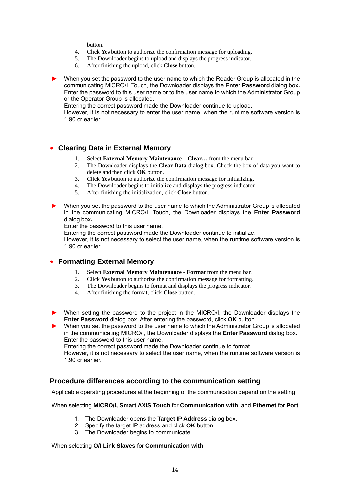button.

- 4. Click **Yes** button to authorize the confirmation message for uploading.<br>5. The Downloader begins to upload and displays the progress indicator.
- The Downloader begins to upload and displays the progress indicator.
- 6. After finishing the upload, click **Close** button.
- When you set the password to the user name to which the Reader Group is allocated in the communicating MICRO/I, Touch, the Downloader displays the **Enter Password** dialog box**.** Enter the password to this user name or to the user name to which the Administrator Group or the Operator Group is allocated.

Entering the correct password made the Downloader continue to upload.

However, it is not necessary to enter the user name, when the runtime software version is 1.90 or earlier.

### ● **Clearing Data in External Memory**

- 1. Select **External Memory Maintenance Clear…** from the menu bar.
- 2. The Downloader displays the **Clear Data** dialog box. Check the box of data you want to delete and then click **OK** button.
- 3. Click **Yes** button to authorize the confirmation message for initializing.
- 4. The Downloader begins to initialize and displays the progress indicator.
- 5. After finishing the initialization, click **Close** button.
- ► When you set the password to the user name to which the Administrator Group is allocated in the communicating MICRO/I, Touch, the Downloader displays the **Enter Password**  dialog box**.**

Enter the password to this user name.

Entering the correct password made the Downloader continue to initialize.

However, it is not necessary to select the user name, when the runtime software version is 1.90 or earlier.

### ● **Formatting External Memory**

- 1. Select **External Memory Maintenance Format** from the menu bar.
- 2. Click **Yes** button to authorize the confirmation message for formatting.<br>3. The Downloader begins to format and displays the progress indicator.
- The Downloader begins to format and displays the progress indicator.
- 4. After finishing the format, click **Close** button.
- ► When setting the password to the project in the MICRO/I, the Downloader displays the **Enter Password** dialog box. After entering the password, click **OK** button.

When you set the password to the user name to which the Administrator Group is allocated in the communicating MICRO/I, the Downloader displays the **Enter Password** dialog box**.** Enter the password to this user name.

Entering the correct password made the Downloader continue to format.

However, it is not necessary to select the user name, when the runtime software version is 1.90 or earlier.

### **Procedure differences according to the communication setting**

Applicable operating procedures at the beginning of the communication depend on the setting.

#### When selecting **MICRO/I, Smart AXIS Touch** for **Communication with**, and **Ethernet** for **Port**.

- 1. The Downloader opens the **Target IP Address** dialog box.
- 2. Specify the target IP address and click **OK** button.
- 3. The Downloader begins to communicate.

#### When selecting **O/I Link Slaves** for **Communication with**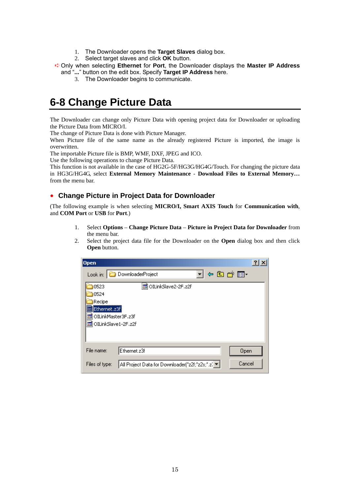- 1. The Downloader opens the **Target Slaves** dialog box.
- 2. Select target slaves and click **OK** button.
- ➪Only when selecting **Ethernet** for **Port**, the Downloader displays the **Master IP Address** and "**...**" button on the edit box. Specify **Target IP Address** here.
	- 3. The Downloader begins to communicate.

### <span id="page-17-0"></span>**6-8 Change Picture Data**

The Downloader can change only Picture Data with opening project data for Downloader or uploading the Picture Data from MICRO/I.

The change of Picture Data is done with Picture Manager.

When Picture file of the same name as the already registered Picture is imported, the image is overwritten.

The importable Picture file is BMP, WMF, DXF, JPEG and ICO.

Use the following operations to change Picture Data.

This function is not available in the case of HG2G-5F/HG3G/HG4G/Touch. For changing the picture data in HG3G/HG4G, select **External Memory Maintenance** - **Download Files to External Memory…** from the menu bar.

### **Change Picture in Project Data for Downloader**

(The following example is when selecting **MICRO/I, Smart AXIS Touch** for **Communication with**, and **COM Port** or **USB** for **Port**.)

- 1. Select **Options Change Picture Data Picture in Project Data for Downloader** from the menu bar.
- 2. Select the project data file for the Downloader on the **Open** dialog box and then click **Open** button.

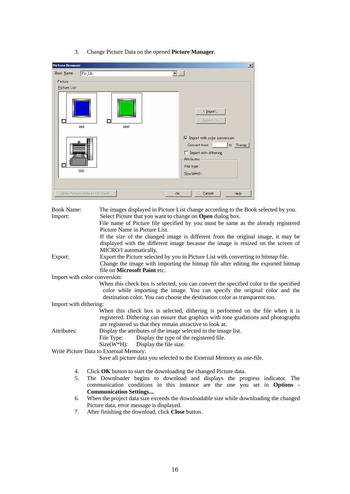3. Change Picture Data on the opened **Picture Manager**.

| $\blacksquare$<br>Pic_Lib<br>Book Name:<br>Picture<br>Picture List:<br>$\leq$ Import<br>Export ><br>□<br>Π<br>aaa1<br>aaa<br>$\nabla$ Import with color conversion<br>to Transp.<br>Convert from<br>$\Box$ Import with dithering<br>Attributes | <b>Picture Browser</b> | $\vert x \vert$ |
|------------------------------------------------------------------------------------------------------------------------------------------------------------------------------------------------------------------------------------------------|------------------------|-----------------|
|                                                                                                                                                                                                                                                |                        |                 |
|                                                                                                                                                                                                                                                |                        |                 |
| File type :<br>bbb<br>Size(W*H):<br>Write Picture Data to CF Card<br>Cancel<br>Help<br>OK                                                                                                                                                      |                        |                 |

| <b>Book Name:</b>             | The images displayed in Picture List change according to the Book selected by you.     |
|-------------------------------|----------------------------------------------------------------------------------------|
| Import:                       | Select Picture that you want to change on Open dialog box.                             |
|                               | File name of Picture file specified by you must be same as the already registered      |
|                               | Picture Name in Picture List.                                                          |
|                               | If the size of the changed image is different from the original image, it may be       |
|                               | displayed with the different image because the image is resized on the screen of       |
|                               | MICRO/I automatically.                                                                 |
| Export:                       | Export the Picture selected by you in Picture List with converting to bitmap file.     |
|                               | Change the image with importing the bitmap file after editing the exported bitmap      |
|                               | file on <b>Microsoft Paint</b> etc.                                                    |
| Import with color conversion: |                                                                                        |
|                               | When this check box is selected, you can convert the specified color to the specified  |
|                               | color while importing the image. You can specify the original color and the            |
|                               | destination color. You can choose the destination color as transparent too.            |
| Import with dithering:        |                                                                                        |
|                               | When this check box is selected, dithering is performed on the file when it is         |
|                               | registered. Dithering can ensure that graphics with tone gradations and photographs    |
|                               | are registered so that they remain attractive to look at.                              |
| Attributes:                   | Display the attributes of the image selected in the image list.                        |
|                               | Display the type of the registered file.<br>File Type:                                 |
|                               | $Size(W*H)$ : Display the file size.                                                   |
|                               | Write Picture Data to External Memory:                                                 |
|                               | Save all picture data you selected to the External Memory as one-file.                 |
| 4.                            | Click OK button to start the downloading the changed Picture data.                     |
| 5.                            | The Downloader begins to download and displays the progress indicator. The             |
|                               | communication conditions in this instance are the one you set in Options -             |
|                               | <b>Communication Settings</b>                                                          |
| 6.                            | When the project data size exceeds the downloadable size while downloading the changed |

- Picture data, error message is displayed.
- 7. After finishing the download, click **Close** button.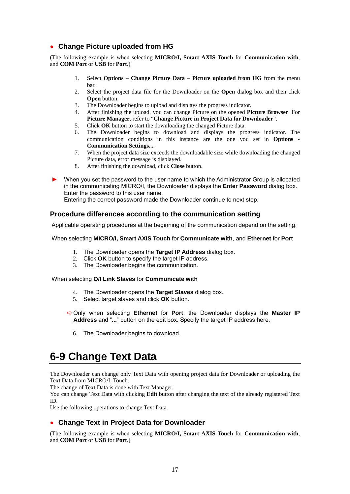### ● **Change Picture uploaded from HG**

(The following example is when selecting **MICRO/I, Smart AXIS Touch** for **Communication with**, and **COM Port** or **USB** for **Port**.)

- 1. Select **Options Change Picture Data Picture uploaded from HG** from the menu bar.
- 2. Select the project data file for the Downloader on the **Open** dialog box and then click **Open** button.
- 3. The Downloader begins to upload and displays the progress indicator.
- 4. After finishing the upload, you can change Picture on the opened **Picture Browser**. For **Picture Manager**, refer to "**Change Picture in Project Data for Downloader**".
- 5. Click **OK** button to start the downloading the changed Picture data.
- 6. The Downloader begins to download and displays the progress indicator. The communication conditions in this instance are the one you set in **Options** - **Communication Settings...**.
- 7. When the project data size exceeds the downloadable size while downloading the changed Picture data, error message is displayed.
- 8. After finishing the download, click **Close** button.

When you set the password to the user name to which the Administrator Group is allocated in the communicating MICRO/I, the Downloader displays the **Enter Password** dialog box. Enter the password to this user name.

Entering the correct password made the Downloader continue to next step.

### **Procedure differences according to the communication setting**

Applicable operating procedures at the beginning of the communication depend on the setting.

#### When selecting **MICRO/I, Smart AXIS Touch** for **Communicate with**, and **Ethernet** for **Port**

- 1. The Downloader opens the **Target IP Address** dialog box.
- 2. Click **OK** button to specify the target IP address.
- 3. The Downloader begins the communication.

#### When selecting **O/I Link Slaves** for **Communicate with**

- 4. The Downloader opens the **Target Slaves** dialog box.
- 5. Select target slaves and click **OK** button.
- ➪Only when selecting **Ethernet** for **Port**, the Downloader displays the **Master IP Address** and "**...**" button on the edit box. Specify the target IP address here.
	- 6. The Downloader begins to download.

### <span id="page-19-0"></span>**6-9 Change Text Data**

The Downloader can change only Text Data with opening project data for Downloader or uploading the Text Data from MICRO/I, Touch.

The change of Text Data is done with Text Manager.

You can change Text Data with clicking **Edit** button after changing the text of the already registered Text ID.

Use the following operations to change Text Data.

### ● **Change Text in Project Data for Downloader**

(The following example is when selecting **MICRO/I, Smart AXIS Touch** for **Communication with**, and **COM Port** or **USB** for **Port**.)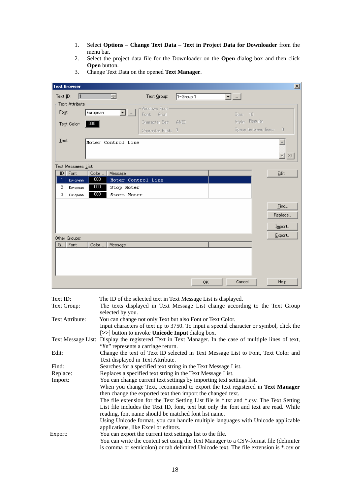- 1. Select **Options Change Text Data Text in Project Data for Downloader** from the menu bar.
- 2. Select the project data file for the Downloader on the **Open** dialog box and then click **Open** button.

| <b>Text Browser</b>  |                     |                 |                           |                                                                            |                 |     |                           | $\mathbf{x}$                                             |
|----------------------|---------------------|-----------------|---------------------------|----------------------------------------------------------------------------|-----------------|-----|---------------------------|----------------------------------------------------------|
| $Text$<br>ID:        | 匝                   |                 | H                         | Text Group:                                                                | $1 -$ Group $1$ |     | $\overline{\mathbf{r}}$ . |                                                          |
| Font:<br>Text Color: | -Text Attribute     | European<br>000 | $\overline{\blacksquare}$ | -Windows Font-<br>Font: Arial<br>Character Set: ANSI<br>Character Pitch: 0 |                 |     | Size: 10                  | Style: Regular<br>Space between lines:<br>$\overline{0}$ |
| Text:                |                     |                 | Moter Control Line        |                                                                            |                 |     |                           | <u> ≂l ≫</u>                                             |
|                      | Text Messages List: |                 |                           |                                                                            |                 |     |                           |                                                          |
| ID                   | Font                | Color           | Message                   |                                                                            |                 |     |                           | Edit                                                     |
| 1                    | European            | 000             | Moter Control Line        |                                                                            |                 |     |                           |                                                          |
| $\overline{2}$<br>3  | <b>European</b>     | 000<br>000      | Stop Moter                |                                                                            |                 |     |                           |                                                          |
|                      | European            |                 | Start Moter               |                                                                            |                 |     |                           |                                                          |
|                      |                     |                 |                           |                                                                            |                 |     |                           | Eind                                                     |
|                      |                     |                 |                           |                                                                            |                 |     |                           | Reglace                                                  |
|                      |                     |                 |                           |                                                                            |                 |     |                           | Import                                                   |
|                      |                     |                 |                           |                                                                            |                 |     |                           |                                                          |
| Other Groups:        |                     |                 |                           |                                                                            |                 |     |                           | Export                                                   |
| G                    | Font                | Color           | Message                   |                                                                            |                 |     |                           |                                                          |
|                      |                     |                 |                           |                                                                            |                 | OK. | Cancel                    | Help                                                     |

3. Change Text Data on the opened **Text Manager**.

| Text ID:        | The ID of the selected text in Text Message List is displayed.                                         |
|-----------------|--------------------------------------------------------------------------------------------------------|
| Text Group:     | The texts displayed in Text Message List change according to the Text Group                            |
|                 | selected by you.                                                                                       |
| Text Attribute: | You can change not only Text but also Font or Text Color.                                              |
|                 | Input characters of text up to 3750. To input a special character or symbol, click the                 |
|                 | [>>] button to invoke Unicode Input dialog box.                                                        |
|                 | Text Message List: Display the registered Text in Text Manager. In the case of multiple lines of text, |
|                 | "¥n" represents a carriage return.                                                                     |
| Edit:           | Change the text of Text ID selected in Text Message List to Font, Text Color and                       |
|                 | Text displayed in Text Attribute.                                                                      |
| Find:           | Searches for a specified text string in the Text Message List.                                         |
| Replace:        | Replaces a specified text string in the Text Message List.                                             |
| Import:         | You can change current text settings by importing text settings list.                                  |
|                 | When you change Text, recommend to export the text registered in Text Manager                          |
|                 | then change the exported text then import the changed text.                                            |
|                 | The file extension for the Text Setting List file is *.txt and *.csv. The Text Setting                 |
|                 | List file includes the Text ID, font, text but only the font and text are read. While                  |
|                 | reading, font name should be matched font list name.                                                   |
|                 | Using Unicode format, you can handle multiple languages with Unicode applicable                        |
|                 | applications, like Excel or editors.                                                                   |
| Export:         | You can export the current text settings list to the file.                                             |
|                 | You can write the content set using the Text Manager to a CSV-format file (delimiter                   |
|                 | is comma or semicolon) or tab delimited Unicode text. The file extension is *.csv or                   |
|                 |                                                                                                        |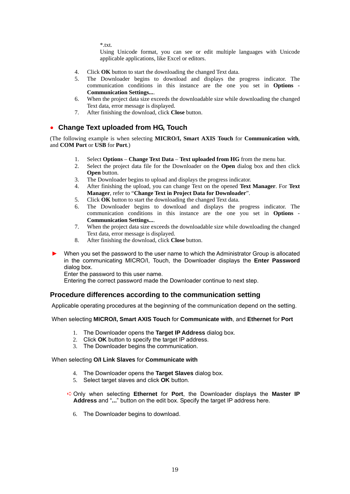$*$  txt.

Using Unicode format, you can see or edit multiple languages with Unicode applicable applications, like Excel or editors.

- 4. Click **OK** button to start the downloading the changed Text data.
- 5. The Downloader begins to download and displays the progress indicator. The communication conditions in this instance are the one you set in **Options** - **Communication Settings...**.
- 6. When the project data size exceeds the downloadable size while downloading the changed Text data, error message is displayed.
- 7. After finishing the download, click **Close** button.

### ● **Change Text uploaded from HG, Touch**

(The following example is when selecting **MICRO/I, Smart AXIS Touch** for **Communication with**, and **COM Port** or **USB** for **Port**.)

- 1. Select **Options Change Text Data Text uploaded from HG** from the menu bar.
- 2. Select the project data file for the Downloader on the **Open** dialog box and then click **Open** button.
- 3. The Downloader begins to upload and displays the progress indicator.
- 4. After finishing the upload, you can change Text on the opened **Text Manager**. For **Text Manager**, refer to "**Change Text in Project Data for Downloader**".
- 5. Click **OK** button to start the downloading the changed Text data.
- 6. The Downloader begins to download and displays the progress indicator. The communication conditions in this instance are the one you set in **Options** - **Communication Settings...**.
- 7. When the project data size exceeds the downloadable size while downloading the changed Text data, error message is displayed.
- 8. After finishing the download, click **Close** button.
- When you set the password to the user name to which the Administrator Group is allocated in the communicating MICRO/I, Touch, the Downloader displays the **Enter Password** dialog box.

Enter the password to this user name.

Entering the correct password made the Downloader continue to next step.

### **Procedure differences according to the communication setting**

Applicable operating procedures at the beginning of the communication depend on the setting.

#### When selecting **MICRO/I, Smart AXIS Touch** for **Communicate with**, and **Ethernet** for **Port**

- 1. The Downloader opens the **Target IP Address** dialog box.
- 2. Click **OK** button to specify the target IP address.
- 3. The Downloader begins the communication.

#### When selecting **O/I Link Slaves** for **Communicate with**

- 4. The Downloader opens the **Target Slaves** dialog box.
- 5. Select target slaves and click **OK** button.
- ➪Only when selecting **Ethernet** for **Port**, the Downloader displays the **Master IP Address** and "**...**" button on the edit box. Specify the target IP address here.
	- 6. The Downloader begins to download.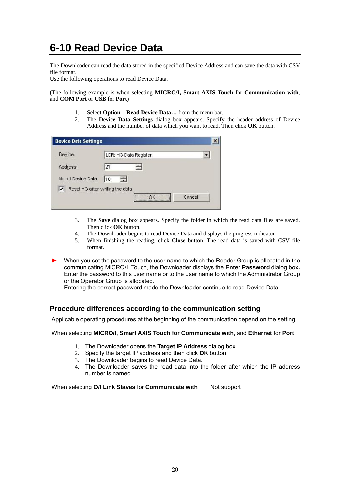### <span id="page-22-0"></span>**6-10 Read Device Data**

The Downloader can read the data stored in the specified Device Address and can save the data with CSV file format.

Use the following operations to read Device Data.

(The following example is when selecting **MICRO/I, Smart AXIS Touch** for **Communication with**, and **COM Port** or **USB** for **Port**)

- 1. Select **Option Read Device Data…** from the menu bar.
- 2. The **Device Data Settings** dialog box appears. Specify the header address of Device Address and the number of data which you want to read. Then click **OK** button.

| <b>Device Data Settings</b>          |                  |                       |        |  |
|--------------------------------------|------------------|-----------------------|--------|--|
| Device:                              |                  | LDR: HG Data Register |        |  |
| Address:                             | 121              | $\frac{1}{2}$         |        |  |
| No. of Device Data:                  | man<br>Tin<br>10 |                       |        |  |
| ⊽<br>Reset HG after writing the data |                  |                       |        |  |
|                                      |                  |                       | Cancel |  |

- 3. The **Save** dialog box appears. Specify the folder in which the read data files are saved. Then click **OK** button.
- 4. The Downloader begins to read Device Data and displays the progress indicator.
- 5. When finishing the reading, click **Close** button. The read data is saved with CSV file format.
- ► When you set the password to the user name to which the Reader Group is allocated in the communicating MICRO/I, Touch, the Downloader displays the **Enter Password** dialog box**.** Enter the password to this user name or to the user name to which the Administrator Group or the Operator Group is allocated.

Entering the correct password made the Downloader continue to read Device Data.

### **Procedure differences according to the communication setting**

Applicable operating procedures at the beginning of the communication depend on the setting.

When selecting **MICRO/I, Smart AXIS Touch for Communicate with**, and **Ethernet** for **Port** 

- 1. The Downloader opens the **Target IP Address** dialog box.
- 2. Specify the target IP address and then click **OK** button.
- 3. The Downloader begins to read Device Data.
- 4. The Downloader saves the read data into the folder after which the IP address number is named.

When selecting O/I Link Slaves for **Communicate with** Not support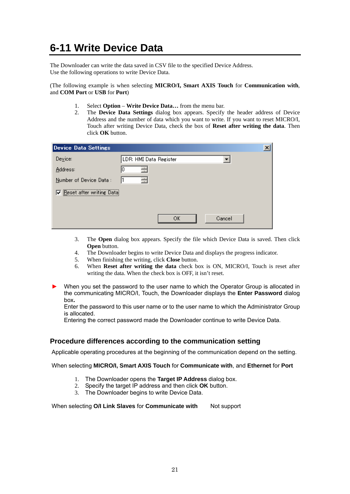### <span id="page-23-0"></span>**6-11 Write Device Data**

The Downloader can write the data saved in CSV file to the specified Device Address. Use the following operations to write Device Data.

(The following example is when selecting **MICRO/I, Smart AXIS Touch** for **Communication with**, and **COM Port** or **USB** for **Port**)

- 1. Select **Option Write Device Data…** from the menu bar.
- 2. The **Device Data Settings** dialog box appears. Specify the header address of Device Address and the number of data which you want to write. If you want to reset MICRO/I, Touch after writing Device Data, check the box of **Reset after writing the data**. Then click **OK** button.

| <b>Device Data Settings</b> |                        | × |
|-----------------------------|------------------------|---|
| Device:                     | LDR: HMI Data Register |   |
| Address:                    | $\cdot$                |   |
| Number of Device Data:      | ═                      |   |
| Reset after writing Data    |                        |   |
|                             |                        |   |
|                             | OK                     |   |
|                             | Cancel                 |   |

- 3. The **Open** dialog box appears. Specify the file which Device Data is saved. Then click **Open** button.
- 4. The Downloader begins to write Device Data and displays the progress indicator.
- 5. When finishing the writing, click **Close** button.
- 6. When **Reset after writing the data** check box is ON, MICRO/I, Touch is reset after writing the data. When the check box is OFF, it isn't reset.
- When you set the password to the user name to which the Operator Group is allocated in the communicating MICRO/I, Touch, the Downloader displays the **Enter Password** dialog box**.**

Enter the password to this user name or to the user name to which the Administrator Group is allocated.

Entering the correct password made the Downloader continue to write Device Data.

### **Procedure differences according to the communication setting**

Applicable operating procedures at the beginning of the communication depend on the setting.

#### When selecting **MICRO/I, Smart AXIS Touch** for **Communicate with**, and **Ethernet** for **Port**

- 1. The Downloader opens the **Target IP Address** dialog box.
- 2. Specify the target IP address and then click **OK** button.
- 3. The Downloader begins to write Device Data.

When selecting **O/I Link Slaves** for **Communicate with** Not support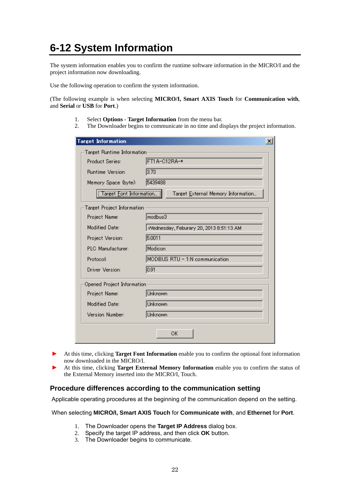### <span id="page-24-0"></span>**6-12 System Information**

The system information enables you to confirm the runtime software information in the MICRO/I and the project information now downloading.

Use the following operation to confirm the system information.

(The following example is when selecting **MICRO/I, Smart AXIS Touch** for **Communication with**, and **Serial** or **USB** for **Port**.)

- 1. Select **Options Target Information** from the menu bar.
- 2. The Downloader begins to communicate in no time and displays the project information.

| <b>Target Information</b>  |                                         | × |
|----------------------------|-----------------------------------------|---|
| Target Runtime Information |                                         |   |
| <b>Product Series:</b>     | FT1A-C12RA-*                            |   |
| <b>Runtime Version:</b>    | 3.73                                    |   |
| Memory Space (byte):       | 5439488                                 |   |
| Target Font Information    | Target External Memory Information      |   |
| Target Project Information |                                         |   |
| Project Name:              | modbus3                                 |   |
| Modified Date:             | Wednesday, Feburary 20, 2013 8:51:13 AM |   |
| Project Version:           | 5.0011                                  |   |
| <b>PLC</b> Manufacturer:   | Modicon                                 |   |
| Protocol:                  | MODBUS RTU - 1:N communication          |   |
| Driver Version:            | 0.91                                    |   |
| Opened Project Information |                                         |   |
| Project Name:              | Unknown                                 |   |
| <b>Modified Date:</b>      | Unknown                                 |   |
| Version Number:            | Unknown                                 |   |
|                            | ОК                                      |   |

- ► At this time, clicking **Target Font Information** enable you to confirm the optional font information now downloaded in the MICRO/I.
- ► At this time, clicking **Target External Memory Information** enable you to confirm the status of the External Memory inserted into the MICRO/I, Touch.

### **Procedure differences according to the communication setting**

Applicable operating procedures at the beginning of the communication depend on the setting.

#### When selecting **MICRO/I, Smart AXIS Touch** for **Communicate with**, and **Ethernet** for **Port**.

- 1. The Downloader opens the **Target IP Address** dialog box.
- 2. Specify the target IP address, and then click **OK** button.
- 3. The Downloader begins to communicate.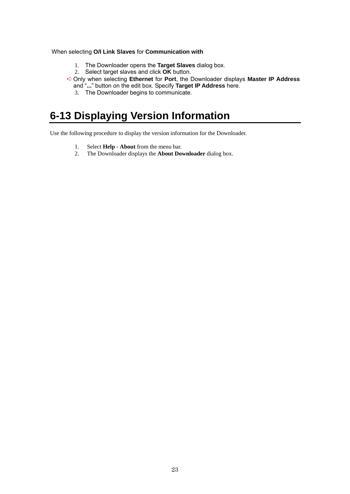### When selecting **O/I Link Slaves** for **Communication with**

- 1. The Downloader opens the **Target Slaves** dialog box.
- 2. Select target slaves and click **OK** button.
- ➪Only when selecting **Ethernet** for **Port**, the Downloader displays **Master IP Address** and "**...**" button on the edit box. Specify **Target IP Address** here.
	- 3. The Downloader begins to communicate.

### <span id="page-25-0"></span>**6-13 Displaying Version Information**

Use the following procedure to display the version information for the Downloader.

- 1. Select **Help About** from the menu bar.
- 2. The Downloader displays the **About Downloader** dialog box.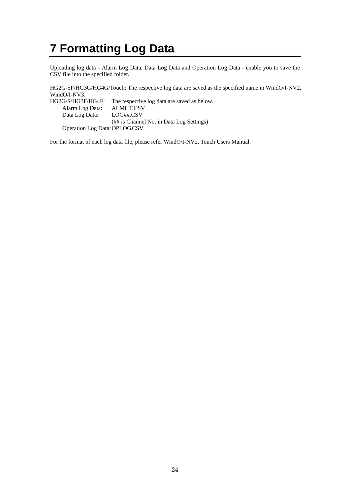# <span id="page-26-0"></span>**7 Formatting Log Data**

Uploading log data - Alarm Log Data, Data Log Data and Operation Log Data - enable you to save the CSV file into the specified folder.

HG2G-5F/HG3G/HG4G/Touch: The respective log data are saved as the specified name in WindO/I-NV2, WindO/I-NV3.

HG2G/S/HG3F/HG4F: The respective log data are saved as below. Alarm Log Data: ALMHT.CSV Data Log Data: LOG##.CSV (## is Channel No. in Data Log Settings) Operation Log Data: OPLOG.CSV

For the format of each log data file, please refer WindO/I-NV2, Touch Users Manual.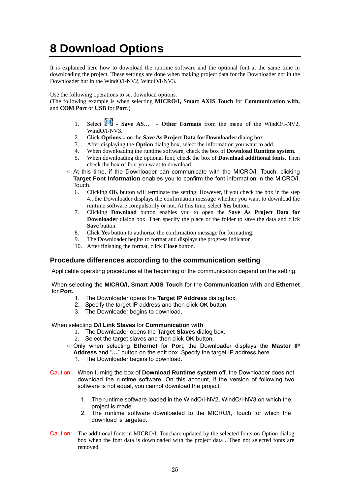# <span id="page-27-0"></span>**8 Download Options**

It is explained here how to download the runtime software and the optional font at the same time in downloading the project. These settings are done when making project data for the Downloader not in the Downloader but in the WindO/I-NV2, WindO/I-NV3.

Use the following operations to set download options.

(The following example is when selecting **MICRO/I, Smart AXIS Touch** for **Communication with,**  and **COM Port** or **USB** for **Port**.)

- 1. Select **1. Save AS...** Other Formats from the menu of the WindO/I-NV2, WindO/I-NV3
- 2. Click **Options...** on the **Save As Project Data for Downloader** dialog box.
- 3. After displaying the **Option** dialog box, select the information you want to add.
- 4. When downloading the runtime software, check the box of **Download Runtime system**.
- 5. When downloading the optional font, check the box of **Download additional fonts**. Then check the box of font you want to download.
- ➪At this time, if the Downloader can communicate with the MICRO/I, Touch, clicking **Target Font Information** enables you to confirm the font information in the MICRO/I, Touch.
	- 6. Clicking **OK** button will terminate the setting. However, if you check the box in the step 4., the Downloader displays the confirmation message whether you want to download the runtime software compulsorily or not. At this time, select **Yes** button.
	- 7. Clicking **Download** button enables you to open the **Save As Project Data for Downloader** dialog box. Then specify the place or the folder to save the data and click **Save** button.
	- 8. Click **Yes** button to authorize the confirmation message for formatting.
	- 9. The Downloader begins to format and displays the progress indicator.
	- 10. After finishing the format, click **Close** button.

### **Procedure differences according to the communication setting**

Applicable operating procedures at the beginning of the communication depend on the setting.

#### When selecting the **MICRO/I, Smart AXIS Touch** for the **Communication with** and **Ethernet**  for **Port.**

- 1. The Downloader opens the **Target IP Address** dialog box.
- 2. Specify the target IP address and then click **OK** button.
- 3. The Downloader begins to download.

### When selecting **O/I Link Slaves** for **Communication with**

- 1. The Downloader opens the **Target Slaves** dialog box.
- 2. Select the target slaves and then click **OK** button.

➪Only when selecting **Ethernet** for **Por**t, the Downloader displays the **Master IP Address** and "**…**" button on the edit box. Specify the target IP address here.

- 3. The Downloader begins to download.
- Caution: When turning the box of **Download Runtime system** off, the Downloader does not download the runtime software. On this account, if the version of following two software is not equal, you cannot download the project.
	- 1. The runtime software loaded in the WindO/I-NV2, WindO/I-NV3 on which the project is made
	- 2. The runtime software downloaded to the MICRO/I, Touch for which the download is targeted.
- The additional fonts in MICRO/I, Touchare updated by the selected fonts on Option dialog box when the font data is downloaded with the project data . Then not selected fonts are removed. Caution: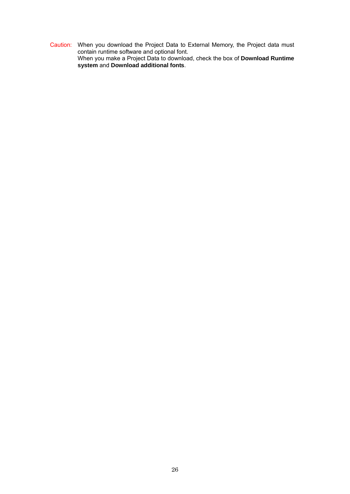Caution: When you download the Project Data to External Memory, the Project data must contain runtime software and optional font. When you make a Project Data to download, check the box of **Download Runtime system** and **Download additional fonts**.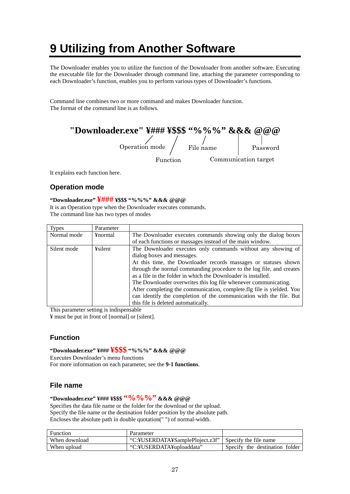# <span id="page-29-0"></span>**9 Utilizing from Another Software**

The Downloader enables you to utilize the function of the Downloader from another software. Executing the executable file for the Downloader through command line, attaching the parameter corresponding to each Downloader's function, enables you to perform various types of Downloader's functions.

Command line combines two or more command and makes Downloader function. The format of the command line is as follows.

| "Downloader.exe" \{\\$\\$\$\$\$\$\$\$\$\$\$\$\\$\\$\$\$\$\$\$\$\$@@@ |           |                      |
|----------------------------------------------------------------------|-----------|----------------------|
| Operation mode                                                       | File name | Password             |
| Function                                                             |           | Communication target |

It explains each function here.

### **Operation mode**

### **"Downloader.exe" ¥### ¥\$\$\$ "%%%" &&& @@@**

It is an Operation type when the Downloader executes commands. The command line has two types of modes

| <b>Types</b> | Parameter |                                                                       |
|--------------|-----------|-----------------------------------------------------------------------|
| Normal mode  | ¥normal   | The Downloader executes commands showing only the dialog boxes        |
|              |           | of each functions or massages instead of the main window.             |
| Silent mode  | ¥silent   | The Downloader executes only commands without any showing of          |
|              |           | dialog boxes and messages.                                            |
|              |           | At this time, the Downloader records massages or statuses shown       |
|              |           | through the normal commanding procedure to the log file, and creates  |
|              |           | as a file in the folder in which the Downloader is installed.         |
|              |           | The Downloader overwrites this log file whenever communicating.       |
|              |           | After completing the communication, complete.flg file is yielded. You |
|              |           | can identify the completion of the communication with the file. But   |
|              |           | this file is deleted automatically.                                   |

This parameter setting is indispensable

¥ must be put in front of [normal] or [silent].

### **Function**

**"Downloader.exe" ¥### ¥\$\$\$ "%%%" &&& @@@**  Executes Downloader's menu functions

For more information on each parameter, see the **9-1 functions**.

### **File name**

### **"Downloader.exe" ¥### ¥\$\$\$ "%%%" &&& @@@**

Specifies the data file name or the folder for the download or the upload. Specify the file name or the destination folder position by the absolute path. Encloses the absolute path in double quotation(" ") of normal-width.

| Function      | Parameter                        |                                |
|---------------|----------------------------------|--------------------------------|
| When download | "C:\USERDATA\\SamplePloiect.z3f" | Specify the file name          |
| When upload   | "C:\USERDATA\uploaddata"         | Specify the destination folder |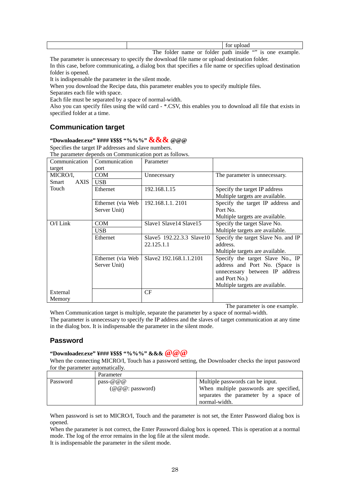| for upload                                                                       |
|----------------------------------------------------------------------------------|
| 6699<br>inside<br>or folder path<br>The<br>is one.<br>name<br>example.<br>tolder |

The parameter is unnecessary to specify the download file name or upload destination folder.

In this case, before communicating, a dialog box that specifies a file name or specifies upload destination folder is opened.

It is indispensable the parameter in the silent mode.

When you download the Recipe data, this parameter enables you to specify multiple files.

Separates each file with space.

Each file must be separated by a space of normal-width.

Also you can specify files using the wild card - \*.CSV, this enables you to download all file that exists in specified folder at a time.

### **Communication target**

### **"Downloader.exe" ¥### ¥\$\$\$ "%%%" &&& @@@**

Specifies the target IP addresses and slave numbers.

The parameter depends on Communication port as follows.

| Communication<br>target | Communication<br>port | Parameter                   |                                     |
|-------------------------|-----------------------|-----------------------------|-------------------------------------|
| MICRO/I.                | <b>COM</b>            | Unnecessary                 | The parameter is unnecessary.       |
| <b>AXIS</b><br>Smart    | <b>USB</b>            |                             |                                     |
| Touch                   | Ethernet              | 192.168.1.15                | Specify the target IP address       |
|                         |                       |                             | Multiple targets are available.     |
|                         | Ethernet (via Web     | 192.168.1.1.2101            | Specify the target IP address and   |
|                         | Server Unit)          |                             | Port No.                            |
|                         |                       |                             | Multiple targets are available.     |
| $O/I$ Link              | <b>COM</b>            | Slave1 Slave14 Slave15      | Specify the target Slave No.        |
|                         | <b>USB</b>            |                             | Multiple targets are available.     |
|                         | Ethernet              | Slave 5 192.22.3.3 Slave 10 | Specify the target Slave No. and IP |
|                         |                       | 22.125.1.1                  | address.                            |
|                         |                       |                             | Multiple targets are available.     |
|                         | Ethernet (via Web)    | Slave2 192.168.1.1.2101     | Specify the target Slave No., IP    |
|                         | Server Unit)          |                             | address and Port No. (Space is      |
|                         |                       |                             | unnecessary between IP address      |
|                         |                       |                             | and Port No.)                       |
|                         |                       |                             | Multiple targets are available.     |
| External                |                       | CF                          |                                     |
| Memory                  |                       |                             |                                     |

The parameter is one example.

When Communication target is multiple, separate the parameter by a space of normal-width. The parameter is unnecessary to specify the IP address and the slaves of target communication at any time in the dialog box. It is indispensable the parameter in the silent mode.

### **Password**

### **"Downloader.exe" ¥### ¥\$\$\$ "%%%" &&& @@@**

When the connecting MICRO/I, Touch has a password setting, the Downloader checks the input password for the parameter automatically.

|          | Parameter         |                                        |
|----------|-------------------|----------------------------------------|
| Password | pass-@@@          | Multiple passwords can be input.       |
|          | $(Q@@:$ password) | When multiple passwords are specified, |
|          |                   | separates the parameter by a space of  |
|          |                   | normal-width.                          |

When password is set to MICRO/I, Touch and the parameter is not set, the Enter Password dialog box is opened.

When the parameter is not correct, the Enter Password dialog box is opened. This is operation at a normal mode. The log of the error remains in the log file at the silent mode.

It is indispensable the parameter in the silent mode.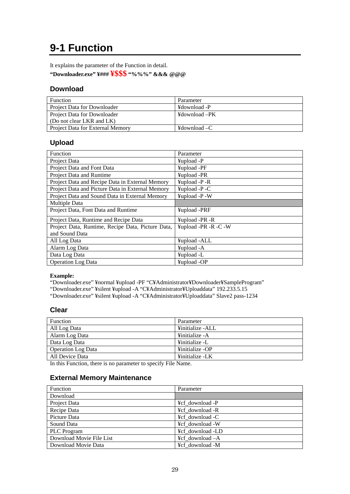### <span id="page-31-0"></span>**9-1 Function**

It explains the parameter of the Function in detail.

**"Downloader.exe" ¥### ¥\$\$\$ "%%%" &&& @@@**

### **Download**

| <b>Function</b>                  | Parameter                       |
|----------------------------------|---------------------------------|
| Project Data for Downloader      | ¥download -P                    |
| Project Data for Downloader      | ¥download –PK                   |
| (Do not clear LKR and LK)        |                                 |
| Project Data for External Memory | $\text{H}$ download $\text{-}C$ |

### **Upload**

| Function                                          | Parameter            |
|---------------------------------------------------|----------------------|
| Project Data                                      | ¥upload -P           |
| Project Data and Font Data                        | ¥upload -PF          |
| Project Data and Runtime                          | ¥upload -PR          |
| Project Data and Recipe Data in External Memory   | $\text{Hapl.}$ -P -R |
| Project Data and Picture Data in External Memory  | $\text{Hapl.}$ -P -C |
| Project Data and Sound Data in External Memory    | ¥upload -P -W        |
| Multiple Data                                     |                      |
| Project Data, Font Data and Runtime               | ¥upload -PRF         |
| Project Data, Runtime and Recipe Data             | ¥upload -PR -R       |
| Project Data, Runtime, Recipe Data, Picture Data, | ¥upload -PR -R -C -W |
| and Sound Data                                    |                      |
| All Log Data                                      | ¥upload -ALL         |
| Alarm Log Data                                    | ¥upload -A           |
| Data Log Data                                     | ¥upload -L           |
| <b>Operation</b> Log Data                         | ¥upload -OP          |

### **Example:**

"Downloader.exe" ¥normal ¥upload -PF "C¥Administrator¥Downloader¥SampleProgram"

"Downloader.exe" ¥silent ¥upload -A "C¥Administrator¥Uploaddata" 192.233.5.15

"Downloader.exe" ¥silent ¥upload -A "C¥Administrator¥Uploaddata" Slave2 pass-1234

### **Clear**

| Parameter        |
|------------------|
| ¥initialize -ALL |
| ¥initialize - A  |
| ¥initialize -L   |
| ¥initialize -OP  |
| ¥initialize -LK  |
|                  |

In this Function, there is no parameter to specify File Name.

### **External Memory Maintenance**

| Function                 | Parameter                                      |
|--------------------------|------------------------------------------------|
| Download                 |                                                |
| Project Data             | ¥cf download -P                                |
| Recipe Data              | ¥cf download -R                                |
| Picture Data             | ¥cf download -C                                |
| Sound Data               | ¥cf download -W                                |
| PLC Program              | ¥cf download -LD                               |
| Download Movie File List | $\angle$ + $\angle$ Eq. $\angle$ download $-A$ |
| Download Movie Data      | ¥cf download -M                                |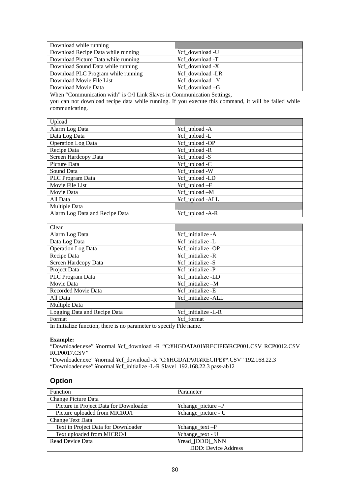| Download while running              |                        |
|-------------------------------------|------------------------|
| Download Recipe Data while running  | ¥cf download -U        |
| Download Picture Data while running | ¥cf download -T        |
| Download Sound Data while running   | $\angle X$ download -X |
| Download PLC Program while running  | ¥cf download -LR       |
| Download Movie File List            | ¥cf_download -Y        |
| Download Movie Data                 | ¥cf download -G        |

When "Communication with" is O/I Link Slaves in Communication Settings, you can not download recipe data while running. If you execute this command, it will be failed while communicating.

| Upload                         |                 |
|--------------------------------|-----------------|
| Alarm Log Data                 | ¥cf_upload -A   |
| Data Log Data                  | ¥cf_upload -L   |
| <b>Operation</b> Log Data      | ¥cf_upload -OP  |
| Recipe Data                    | ¥cf_upload -R   |
| Screen Hardcopy Data           | ¥cf_upload -S   |
| Picture Data                   | ¥cf_upload -C   |
| Sound Data                     | ¥cf_upload -W   |
| PLC Program Data               | ¥cf_upload -LD  |
| Movie File List                | ¥cf_upload -F   |
| Movie Data                     | ¥cf_upload -M   |
| All Data                       | ¥cf_upload -ALL |
| Multiple Data                  |                 |
| Alarm Log Data and Recipe Data | ¥cf_upload -A-R |

| Clear                        |                     |  |  |  |  |
|------------------------------|---------------------|--|--|--|--|
| Alarm Log Data               | ¥cf initialize -A   |  |  |  |  |
| Data Log Data                | ¥cf_initialize -L   |  |  |  |  |
| Operation Log Data           | ¥cf initialize -OP  |  |  |  |  |
| Recipe Data                  | ¥cf initialize -R   |  |  |  |  |
| Screen Hardcopy Data         | ¥cf initialize -S   |  |  |  |  |
| Project Data                 | ¥cf initialize -P   |  |  |  |  |
| PLC Program Data             | ¥cf initialize -LD  |  |  |  |  |
| Movie Data                   | ¥cf initialize -M   |  |  |  |  |
| Recorded Movie Data          | ¥cf initialize -E   |  |  |  |  |
| All Data                     | ¥cf initialize -ALL |  |  |  |  |
| Multiple Data                |                     |  |  |  |  |
| Logging Data and Recipe Data | ¥cf initialize -L-R |  |  |  |  |
| Format                       | ¥cf format          |  |  |  |  |
|                              | .                   |  |  |  |  |

In Initialize function, there is no parameter to specify File name.

#### **Example:**

"Downloader.exe" ¥normal ¥cf\_download -R "C:¥HGDATA01¥RECIPE¥RCP001.CSV RCP0012.CSV RCP0017.CSV"

"Downloader.exe" ¥normal ¥cf\_download -R "C:¥HGDATA01¥RECIPE¥\*.CSV" 192.168.22.3

"Downloader.exe" ¥normal ¥cf\_initialize -L-R Slave1 192.168.22.3 pass-ab12

### **Option**

| Function                               | Parameter                            |
|----------------------------------------|--------------------------------------|
| Change Picture Data                    |                                      |
| Picture in Project Data for Downloader | $\text{Ychange\_picture} - \text{P}$ |
| Picture uploaded from MICRO/I          | ¥change_picture - U                  |
| Change Text Data                       |                                      |
| Text in Project Data for Downloader    | $\text{Ychange}$ text $-P$           |
| Text uploaded from MICRO/I             | ¥change_text - U                     |
| Read Device Data                       | ¥read_[DDD]_NNN                      |
|                                        | <b>DDD: Device Address</b>           |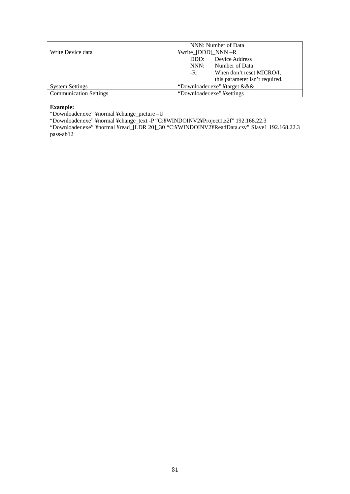|                               | NNN: Number of Data                           |
|-------------------------------|-----------------------------------------------|
| Write Device data             | $\frac{y}{x}$ and $\frac{y}{x}$ (DDD) NNN - R |
|                               | Device Address<br>DDD:                        |
|                               | Number of Data<br>NNN:                        |
|                               | When don't reset MICRO/I,<br>$-R:$            |
|                               | this parameter isn't required.                |
| <b>System Settings</b>        | "Downloader.exe" ¥target & & &                |
| <b>Communication Settings</b> | "Downloader.exe" ¥settings                    |

#### **Example:**

"Downloader.exe" ¥normal ¥change\_picture –U

"Downloader.exe" ¥normal ¥change\_text -P "C:¥WINDOINV2¥Project1.z2f" 192.168.22.3

"Downloader.exe" ¥normal ¥read\_[LDR 20]\_30 "C:¥WINDOINV2¥ReadData.csv" Slave1 192.168.22.3 pass-ab12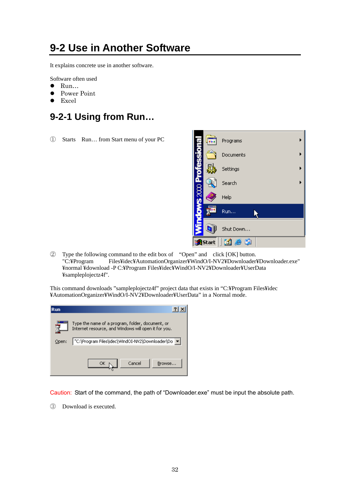### <span id="page-34-0"></span>**9-2 Use in Another Software**

It explains concrete use in another software.

Software often used

- $\bullet$  Run...
- Power Point
- Excel

### <span id="page-34-1"></span>**9-2-1 Using from Run…**

① Starts Run… from Start menu of your PC



② Type the following command to the edit box of "Open" and click [OK] button. "C:¥Program Files¥idec¥AutomationOrganizer¥WindO/I-NV2¥Downloader¥Downloader.exe" ¥normal ¥download -P C:¥Program Files¥idec¥WindO/I-NV2¥Downloader¥UserData ¥sampleplojectz4f".

This command downloads "sampleplojectz4f" project data that exists in "C:¥Program Files¥idec ¥AutomationOrganizer¥WindO/I-NV2¥Downloader¥UserData" in a Normal mode.

| Run   |                                                                                                          |
|-------|----------------------------------------------------------------------------------------------------------|
|       | Type the name of a program, folder, document, or<br>Internet resource, and Windows will open it for you. |
| Open: | "C:\Program Files\idec\WindOI-NV2\Downloader\Do                                                          |
|       | Cancel<br>Browse<br>ОК                                                                                   |

Caution: Start of the command, the path of "Downloader.exe" must be input the absolute path.

③ Download is executed.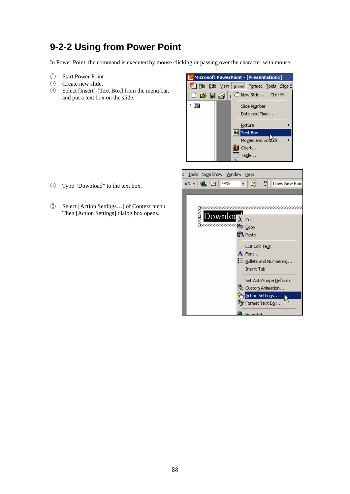### <span id="page-35-0"></span>**9-2-2 Using from Power Point**

In Power Point, the command is executed by mouse clicking or passing over the character with mouse.

- ① Start Power Point
- ② Create new slide.
- ③ Select [Insert]-[Text Box] from the menu bar, and put a text box on the slide.



<sup>ල</sup>ී⁄ Format Text Box…

Hunorlink

- ④ Type "Download" to the text box.
- ⑤ Select [Action Settings…] of Context menu. Then [Action Settings] dialog box opens.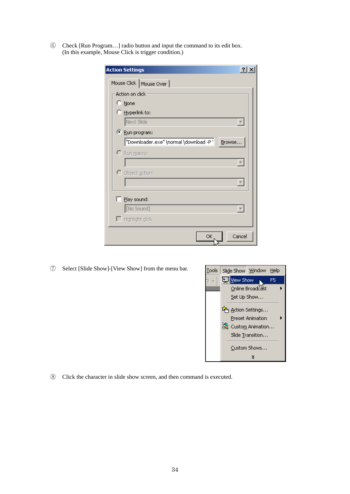Check [Run Program…] radio button and input the command to its edit box. (In this example, Mouse Click is trigger condition.)

| ?<br><b>Action Settings</b>                        |
|----------------------------------------------------|
| Mouse Click   Mouse Over                           |
| Action on click                                    |
| $\heartsuit$ None                                  |
| $\heartsuit$ Hyperlink to:                         |
| Next Slide                                         |
| ⊙ Run program:                                     |
| "Downloader.exe" \normal \download -P ' <br>Browse |
| C Run macro:                                       |
|                                                    |
| O Object action:                                   |
|                                                    |
| $\Box$ Play sound:                                 |
| [No Sound]                                         |
| $\Box$ Highlight click                             |
| Cancel<br>ОK                                       |

Select [Slide Show]-[View Show] from the menu bar.



Click the character in slide show screen, and then command is executed.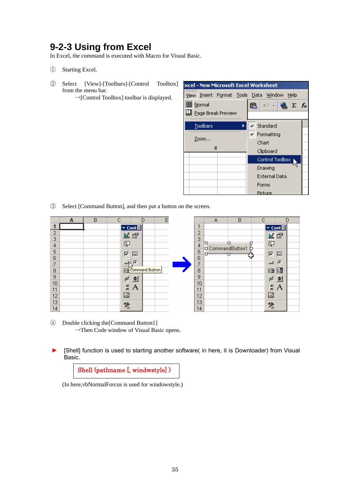### <span id="page-37-0"></span>**9-2-3 Using from Excel**

In Excel, the command is executed with Macro for Visual Basic.

- ① Starting Excel.
- ② Select [View]-[Toolbars]-[Control Toolbox] from the menu bar.

→[Control Toolbox] toolbar is displayed.

|                 |          |                                                  |   | ixcel - New Microsoft Excel Worksheet         |  |  |
|-----------------|----------|--------------------------------------------------|---|-----------------------------------------------|--|--|
|                 |          |                                                  |   | View Insert Format Tools Data Window Help     |  |  |
| <b>围</b> Normal |          |                                                  | ê | $\Box$ = $\bigotimes_{\infty} \Sigma f_{*}$   |  |  |
|                 |          | $\mathop{\perp\!\!\!\!\perp}$ Page Break Preview |   |                                               |  |  |
|                 | Toolbars |                                                  |   | $\checkmark$ Standard                         |  |  |
|                 |          |                                                  |   | $\textrm{\ensuremath{\mathsf{v}}}$ Formatting |  |  |
|                 | Zoom     |                                                  |   | Chart                                         |  |  |
|                 |          | ×                                                |   | Clipboard                                     |  |  |
|                 |          |                                                  |   | Control Toolbox )                             |  |  |
|                 |          |                                                  |   | Drawing                                       |  |  |
|                 |          |                                                  |   | External Data                                 |  |  |
|                 |          |                                                  |   | Forms                                         |  |  |
|                 |          |                                                  |   | Picture                                       |  |  |

③ Select [Command Button], and then put a button on the screen.

|                | А | B |                         | D                   | Ε |                | А                     | B | C                       | D        |
|----------------|---|---|-------------------------|---------------------|---|----------------|-----------------------|---|-------------------------|----------|
| 1              |   |   |                         | ▼ Cont <sup>M</sup> |   | ×,             |                       |   |                         | Ev Cont⊠ |
| Э              |   |   | 國                       | 图                   |   | 2              |                       |   |                         | K Q      |
| 3              |   |   |                         |                     |   | 3              |                       |   |                         |          |
| 4              |   |   | Ę                       |                     |   | $\overline{4}$ | □<br>D CommandButton1 |   | Ę                       |          |
| 5              |   |   | $\overline{\mathbf{v}}$ | $\sqrt{3}$          |   | 5              |                       |   | $\overline{\mathbf{v}}$ | 厨        |
| 6              |   |   |                         |                     |   | 6              |                       |   |                         |          |
| $\overline{7}$ |   |   |                         | G                   |   | 7              |                       |   | $\Box$                  | €        |
| 8              |   |   | 匪                       | Command Button      |   | 8              |                       |   | 国                       | 國        |
| 9              |   |   | ₹.                      | 章                   |   | 9              |                       |   | Η.                      | 章        |
| 10             |   |   | 힆                       | A                   |   | 10             |                       |   | 활                       |          |
| 11             |   |   |                         |                     |   | 11             |                       |   |                         | Α        |
| 12             |   |   | ⊠                       |                     |   | 12             |                       |   | 圆                       |          |
| 13             |   |   | $\mathcal{R}$           |                     |   | 13             |                       |   | $\tilde{\mathbf{x}}$    |          |
| 14             |   |   |                         |                     |   | 14             |                       |   |                         |          |

- ④ Double clicking the[Command Button1] →Then Code window of Visual Basic opens.
- [Shell] function is used to starting another software( in here, it is Downloader) from Visual Basic.

Shell (pathname [, windwstyle] )

(In here,vbNormalForcus is used for windowstyle.)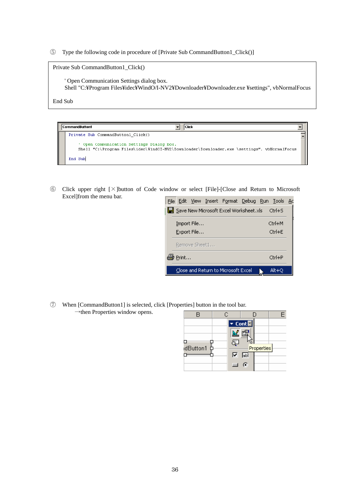⑤ Type the following code in procedure of [Private Sub CommandButton1\_Click()]

| Private Sub CommandButton1 Click()                                                                                                               |
|--------------------------------------------------------------------------------------------------------------------------------------------------|
| Open Communication Settings dialog box.<br>Shell "C:\Program Files\Hidec\WindO/I-NV2\\times\Downloader\Downloader.exe \testtings", vbNormalFocus |
| End Sub                                                                                                                                          |

| CommandButton1<br>Click                                                                                                                |  |
|----------------------------------------------------------------------------------------------------------------------------------------|--|
| Private Sub CommandButton1 Click()                                                                                                     |  |
| Open Communication Settings Dialog box.<br>Shell "C:\Program Files\idec\WindOI-NV2\Downloader\Downloader.exe \settings", vbNormalFocus |  |
| End Sub                                                                                                                                |  |

⑥ Click upper right [×]button of Code window or select [File]-[Close and Return to Microsoft Excel]from the menu bar.

|                |               | File Edit View Insert Format Debug Run Tools Ac |  |                         |  |
|----------------|---------------|-------------------------------------------------|--|-------------------------|--|
|                |               | Save New Microsoft Excel Worksheet.xls          |  | $Ctrl + S$              |  |
|                | Import File   |                                                 |  | Ctrl+M                  |  |
|                | Export File   |                                                 |  | Ctrl+F                  |  |
|                | Remove Sheet1 |                                                 |  |                         |  |
| <b>∲</b> Print |               |                                                 |  | $C$ <sub>r</sub> $H$ +P |  |
|                |               | Close and Return to Microsoft Excel             |  | Alt+O                   |  |

⑦ When [CommandButton1] is selected, click [Properties] button in the tool bar.  $\rightarrow$ then Properties window opens.

| R        | Ĉ                                                                  |                               |  |
|----------|--------------------------------------------------------------------|-------------------------------|--|
| dButton1 | $\blacktriangledown$ Cont $\mathbb{X}$<br>⊽<br><b>The Contract</b> | Properties<br><b>abl</b><br>ō |  |